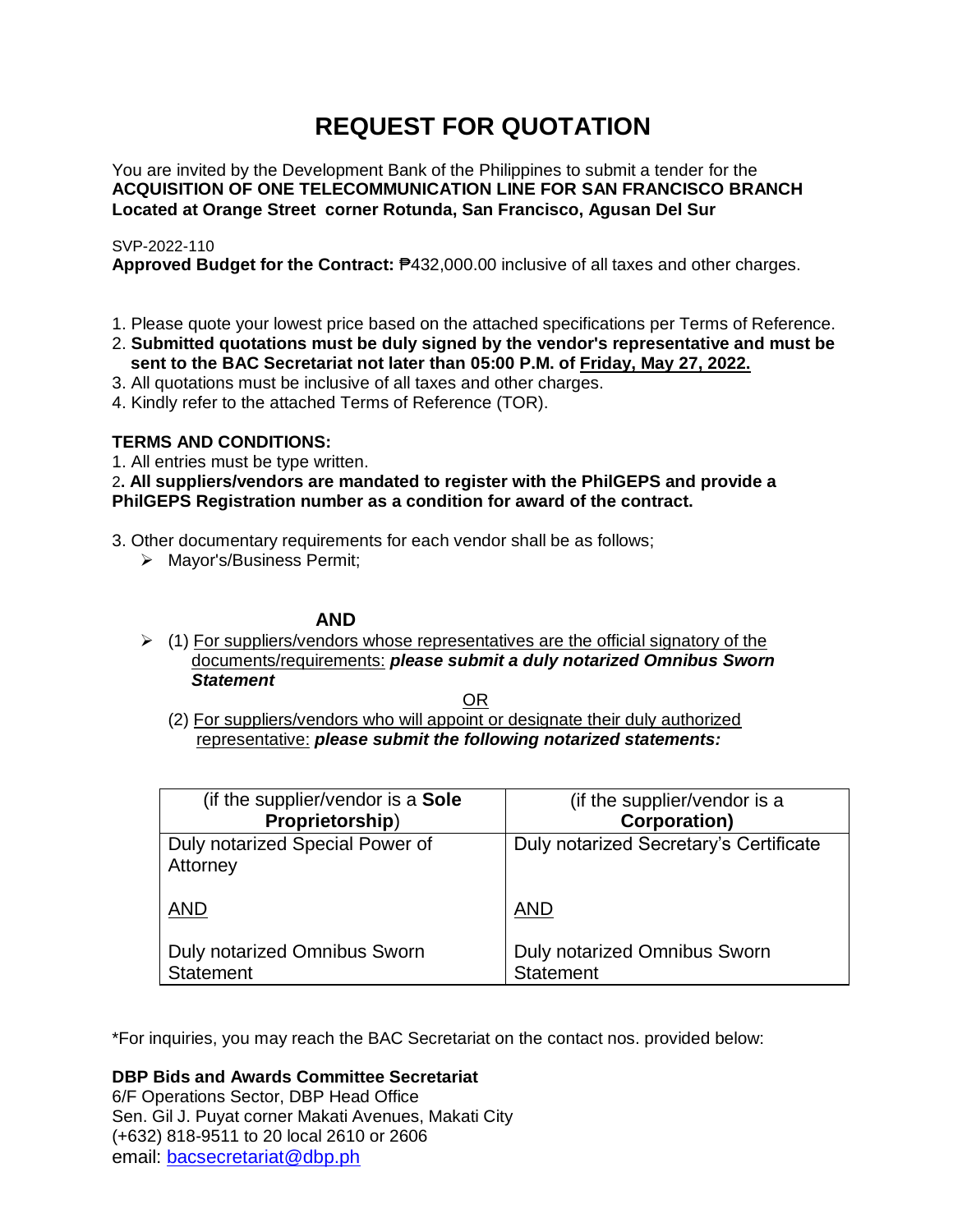# **REQUEST FOR QUOTATION**

You are invited by the Development Bank of the Philippines to submit a tender for the **ACQUISITION OF ONE TELECOMMUNICATION LINE FOR SAN FRANCISCO BRANCH Located at Orange Street corner Rotunda, San Francisco, Agusan Del Sur**

### SVP-2022-110

**Approved Budget for the Contract:** ₱432,000.00 inclusive of all taxes and other charges.

- 1. Please quote your lowest price based on the attached specifications per Terms of Reference.
- 2. **Submitted quotations must be duly signed by the vendor's representative and must be sent to the BAC Secretariat not later than 05:00 P.M. of Friday, May 27, 2022.**
- 3. All quotations must be inclusive of all taxes and other charges.
- 4. Kindly refer to the attached Terms of Reference (TOR).

# **TERMS AND CONDITIONS:**

1. All entries must be type written.

2**. All suppliers/vendors are mandated to register with the PhilGEPS and provide a PhilGEPS Registration number as a condition for award of the contract.**

- 3. Other documentary requirements for each vendor shall be as follows;
	- > Mayor's/Business Permit;

### **AND**

 $\geq$  (1) For suppliers/vendors whose representatives are the official signatory of the documents/requirements: *please submit a duly notarized Omnibus Sworn Statement*

<u>OR Starting and the Starting OR Starting</u>

(2) For suppliers/vendors who will appoint or designate their duly authorized representative: *please submit the following notarized statements:*

| (if the supplier/vendor is a Sole           | (if the supplier/vendor is a           |
|---------------------------------------------|----------------------------------------|
| Proprietorship)                             | <b>Corporation)</b>                    |
| Duly notarized Special Power of<br>Attorney | Duly notarized Secretary's Certificate |
| <b>AND</b>                                  | <b>AND</b>                             |
| Duly notarized Omnibus Sworn                | Duly notarized Omnibus Sworn           |
| <b>Statement</b>                            | <b>Statement</b>                       |

\*For inquiries, you may reach the BAC Secretariat on the contact nos. provided below:

**DBP Bids and Awards Committee Secretariat** 

6/F Operations Sector, DBP Head Office Sen. Gil J. Puyat corner Makati Avenues, Makati City (+632) 818-9511 to 20 local 2610 or 2606 email: [bacsecretariat@dbp.ph](mailto:bacsecretariat@dbp.ph)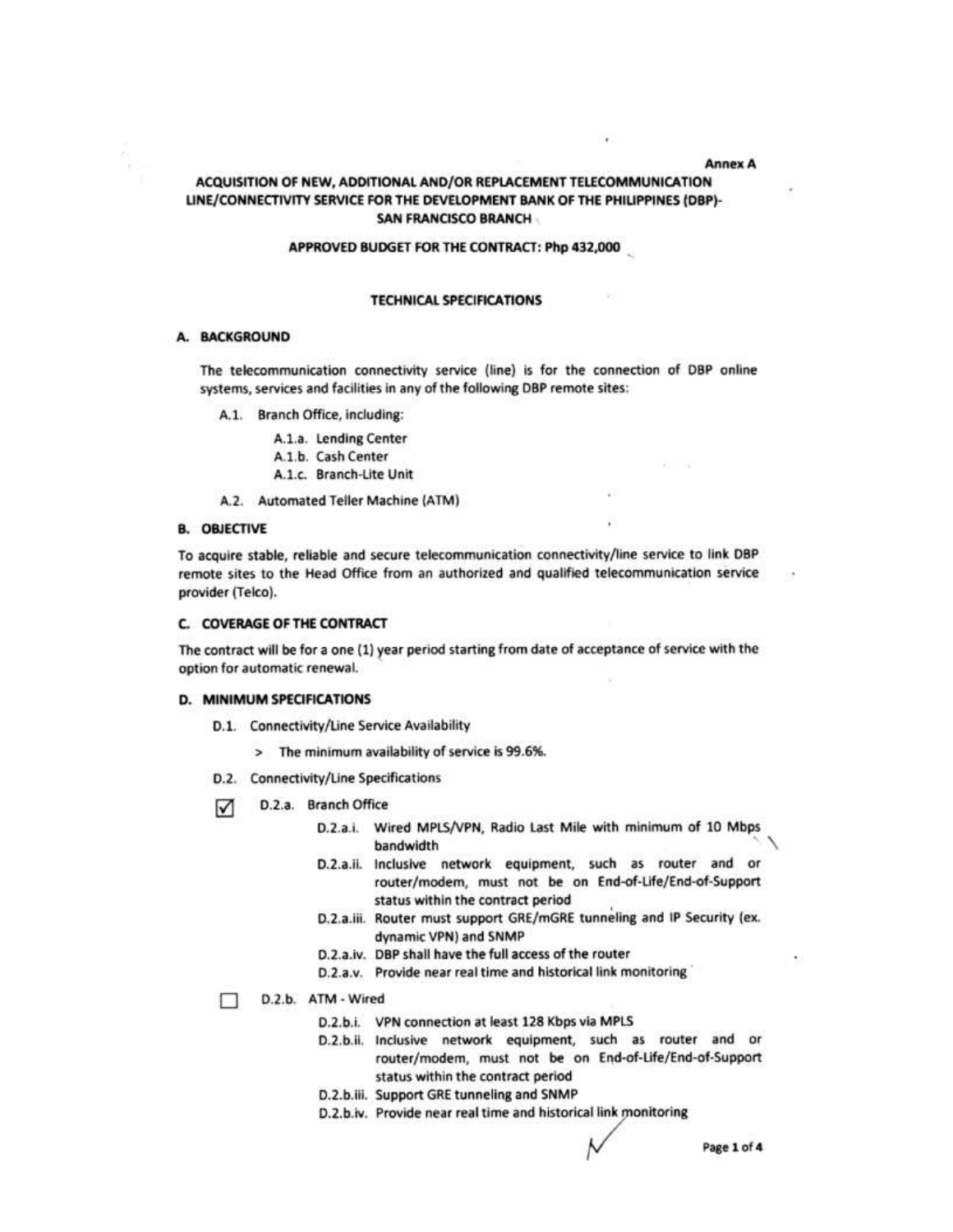#### **Annex A**

### ACQUISITION OF NEW, ADDITIONAL AND/OR REPLACEMENT TELECOMMUNICATION LINE/CONNECTIVITY SERVICE FOR THE DEVELOPMENT BANK OF THE PHILIPPINES (DBP)-**SAN FRANCISCO BRANCH**

### APPROVED BUDGET FOR THE CONTRACT: Php 432,000

#### **TECHNICAL SPECIFICATIONS**

#### A. BACKGROUND

The telecommunication connectivity service (line) is for the connection of DBP online systems, services and facilities in any of the following DBP remote sites:

A.1. Branch Office, including:

A.1.a. Lending Center

A.1.b. Cash Center

A.1.c. Branch-Lite Unit

A.2. Automated Teller Machine (ATM)

#### **B. OBJECTIVE**

To acquire stable, reliable and secure telecommunication connectivity/line service to link DBP remote sites to the Head Office from an authorized and qualified telecommunication service provider (Telco).

#### C. COVERAGE OF THE CONTRACT

The contract will be for a one (1) year period starting from date of acceptance of service with the option for automatic renewal.

#### **D. MINIMUM SPECIFICATIONS**

- D.1. Connectivity/Line Service Availability
	- > The minimum availability of service is 99.6%.
- D.2. Connectivity/Line Specifications
- D.2.a. Branch Office ☑
	- D.2.a.i. Wired MPLS/VPN, Radio Last Mile with minimum of 10 Mbps bandwidth
	- D.2.a.ii. Inclusive network equipment, such as router and or router/modem, must not be on End-of-Life/End-of-Support status within the contract period
	- D.2.a.iii. Router must support GRE/mGRE tunneling and IP Security (ex. dynamic VPN) and SNMP
	- D.2.a.iv. DBP shall have the full access of the router
	- D.2.a.v. Provide near real time and historical link monitoring
- D.2.b. ATM Wired п
	- D.2.b.i. VPN connection at least 128 Kbps via MPLS
	- D.2.b.ii. Inclusive network equipment, such as router and or router/modem, must not be on End-of-Life/End-of-Support status within the contract period
	- D.2.b.iii. Support GRE tunneling and SNMP
	- D.2.b.iv. Provide near real time and historical link monitoring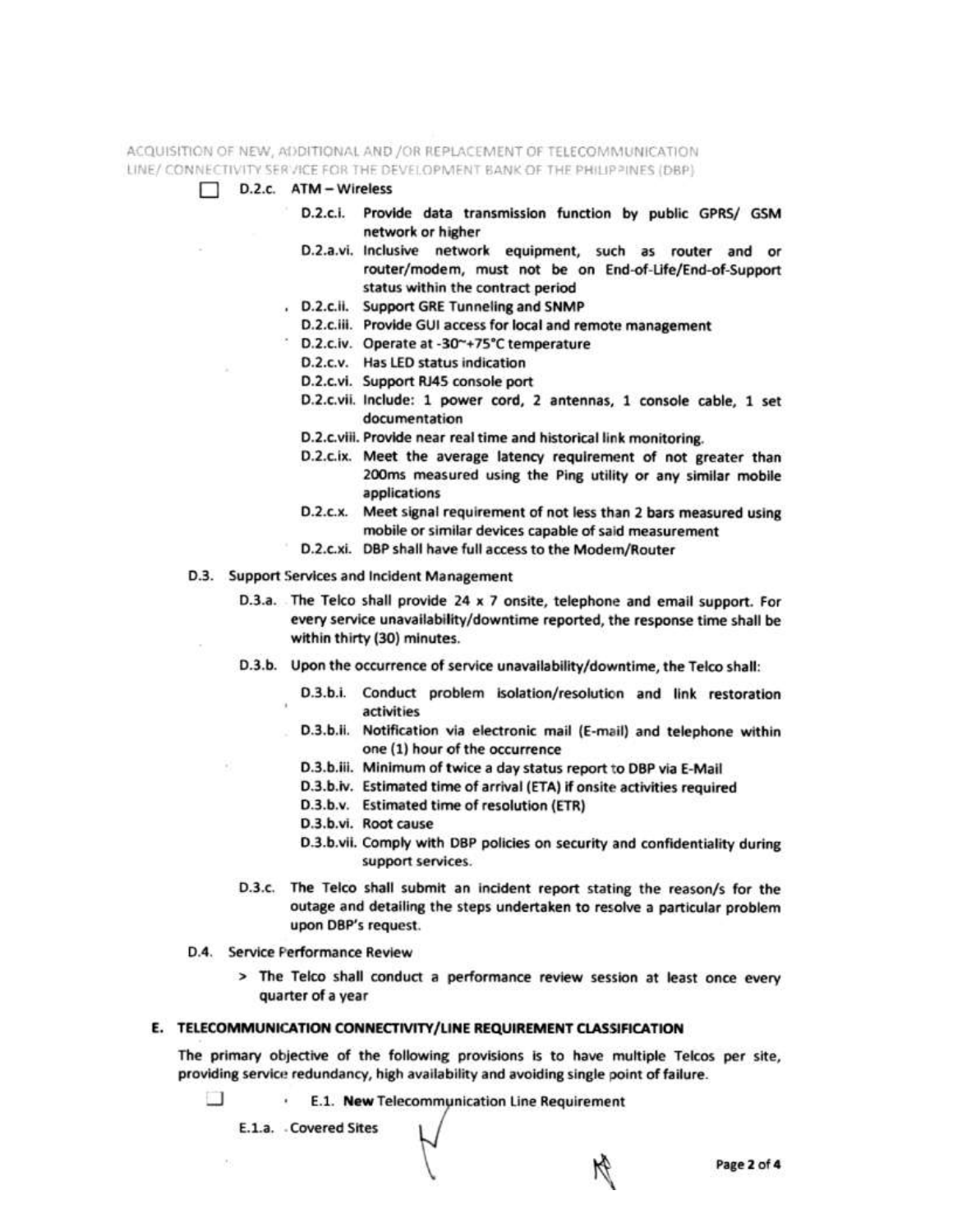ACQUISITION OF NEW, ADDITIONAL AND /OR REPLACEMENT OF TELECOMMUNICATION LINE/ CONNECTIVITY SERVICE FOR THE DEVELOPMENT BANK OF THE PHILIPPINES (DBP)

- D.2.c. ATM Wireless
	- D.2.c.i. Provide data transmission function by public GPRS/ GSM network or higher
	- D.2.a.vi. Inclusive network equipment, such as router and or router/modem, must not be on End-of-Life/End-of-Support status within the contract period
	- . D.2.c.ii. Support GRE Tunneling and SNMP
	- D.2.c.iii. Provide GUI access for local and remote management
	- D.2.c.iv. Operate at -30~+75°C temperature
	- D.2.c.v. Has LED status indication
	- D.2.c.vi. Support RJ45 console port
	- D.2.c.vii. Include: 1 power cord, 2 antennas, 1 console cable, 1 set documentation
	- D.2.c.viii. Provide near real time and historical link monitoring.
	- D.2.c.ix. Meet the average latency requirement of not greater than 200ms measured using the Ping utility or any similar mobile applications
	- D.2.c.x. Meet signal requirement of not less than 2 bars measured using mobile or similar devices capable of said measurement
	- D.2.c.xi. DBP shall have full access to the Modem/Router
- D.3. Support Services and Incident Management

D.3.a. The Telco shall provide 24 x 7 onsite, telephone and email support. For every service unavailability/downtime reported, the response time shall be within thirty (30) minutes.

- D.3.b. Upon the occurrence of service unavailability/downtime, the Telco shall:
	- D.3.b.i. Conduct problem isolation/resolution and link restoration activities
	- D.3.b.ii. Notification via electronic mail (E-mail) and telephone within one (1) hour of the occurrence
	- D.3.b.iii. Minimum of twice a day status report to DBP via E-Mail
	- D.3.b.iv. Estimated time of arrival (ETA) if onsite activities required
	- D.3.b.v. Estimated time of resolution (ETR)
	- D.3.b.vi. Root cause
	- D.3.b.vii. Comply with DBP policies on security and confidentiality during support services.
- D.3.c. The Telco shall submit an incident report stating the reason/s for the outage and detailing the steps undertaken to resolve a particular problem upon DBP's request.
- D.4. Service Performance Review
	- > The Telco shall conduct a performance review session at least once every quarter of a year

### E. TELECOMMUNICATION CONNECTIVITY/LINE REQUIREMENT CLASSIFICATION

The primary objective of the following provisions is to have multiple Telcos per site, providing service redundancy, high availability and avoiding single point of failure.

u . E.1. New Telecommunication Line Requirement

E.1.a. Covered Sites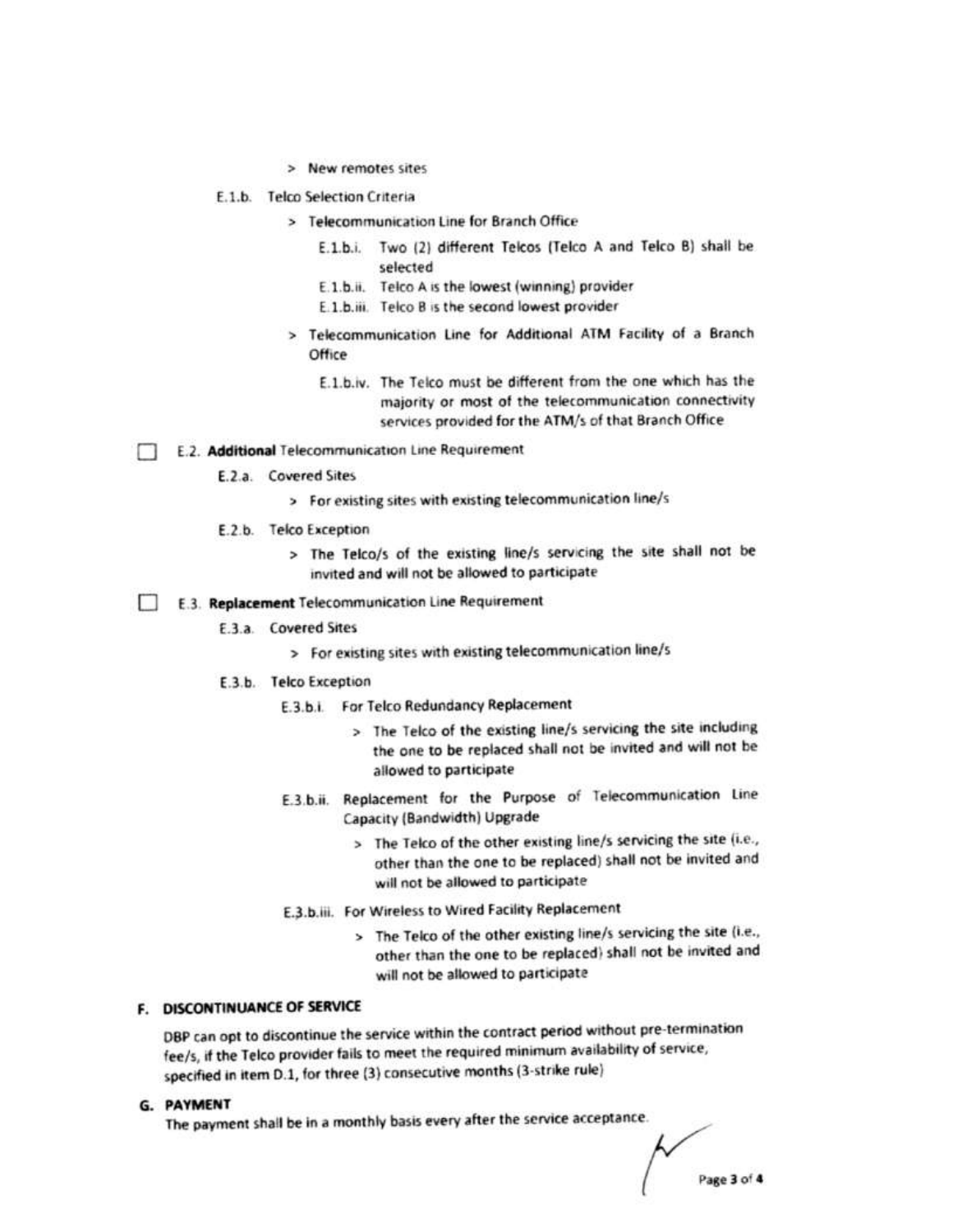- > New remotes sites
- E.1.b. Telco Selection Criteria
	- > Telecommunication Line for Branch Office
		- E.1.b.i. Two (2) different Telcos (Telco A and Telco B) shall be selected
		- E.1.b.ii. Telco A is the lowest (winning) provider
		- E.1.b.iii. Telco B is the second lowest provider
	- > Telecommunication Line for Additional ATM Facility of a Branch Office
		- E.1.b.iv. The Telco must be different from the one which has the majority or most of the telecommunication connectivity services provided for the ATM/s of that Branch Office
- E.2. Additional Telecommunication Line Requirement п
	- E.2.a. Covered Sites
		- > For existing sites with existing telecommunication line/s
	- E.2.b. Telco Exception
		- > The Telco/s of the existing line/s servicing the site shall not be invited and will not be allowed to participate
- E.3. Replacement Telecommunication Line Requirement  $\blacksquare$ 
	- **E.3.a.** Covered Sites
		- > For existing sites with existing telecommunication line/s
	- E.3.b. Telco Exception
		- E.3.b.i. For Telco Redundancy Replacement
			- > The Telco of the existing line/s servicing the site including the one to be replaced shall not be invited and will not be allowed to participate
		- E.3.b.ii. Replacement for the Purpose of Telecommunication Line Capacity (Bandwidth) Upgrade
			- > The Telco of the other existing line/s servicing the site (i.e., other than the one to be replaced) shall not be invited and will not be allowed to participate
		- E.3.b.iii. For Wireless to Wired Facility Replacement
			- > The Telco of the other existing line/s servicing the site (i.e., other than the one to be replaced) shall not be invited and will not be allowed to participate

### F. DISCONTINUANCE OF SERVICE

DBP can opt to discontinue the service within the contract period without pre-termination fee/s, if the Telco provider fails to meet the required minimum availability of service, specified in item D.1, for three (3) consecutive months (3-strike rule)

G. PAYMENT

The payment shall be in a monthly basis every after the service acceptance.